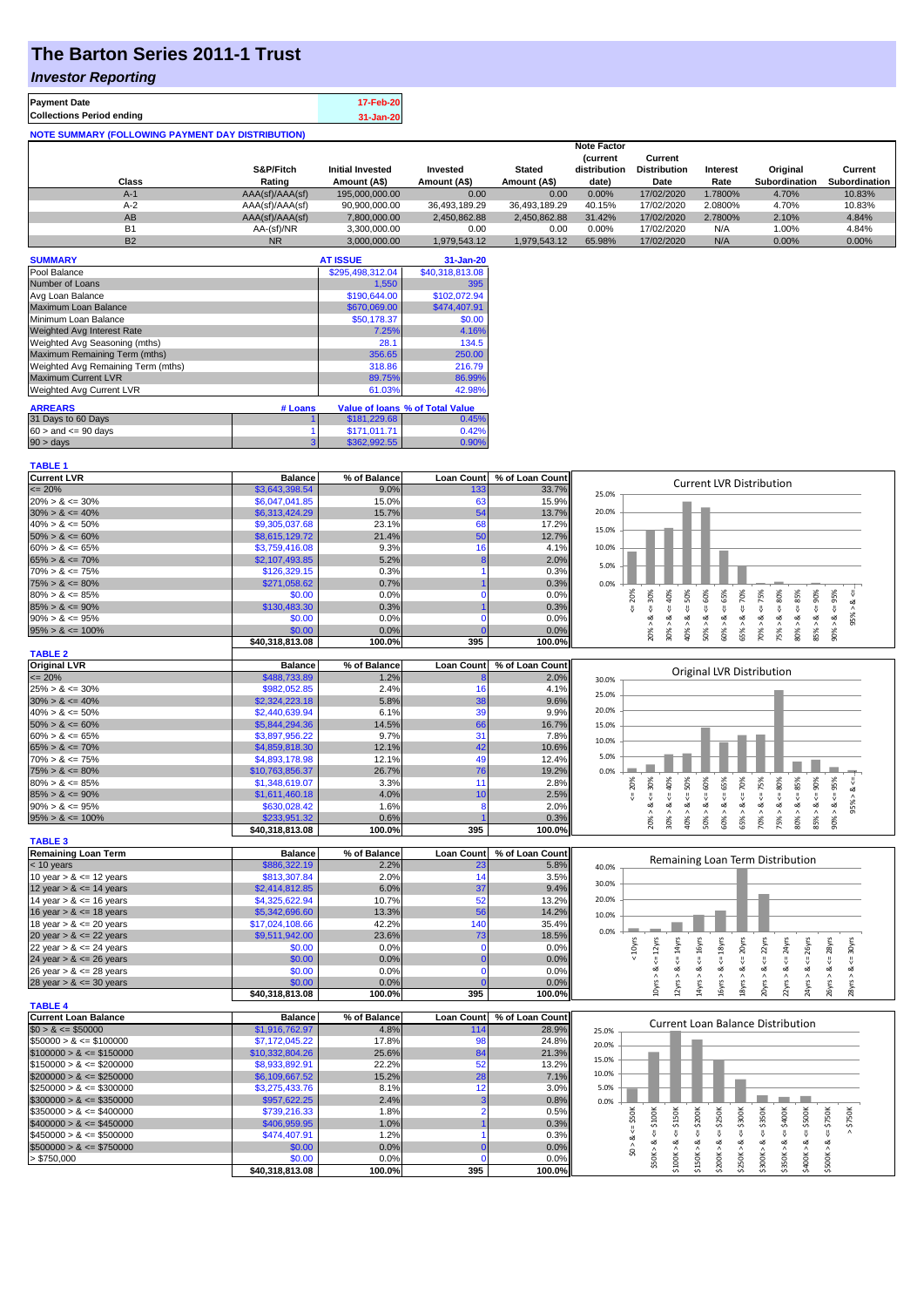## **The Barton Series 2011-1 Trust**

### *Investor Reporting*

| <b>Payment Date</b>                                      | 17-Feb-20 |
|----------------------------------------------------------|-----------|
| <b>Collections Period ending</b>                         | 31-Jan-20 |
| <b>NOTE SUMMARY (FOLLOWING PAYMENT DAY DISTRIBUTION)</b> |           |

|           |                 |                         |               |               | <b>Note Factor</b> |                     |                 |               |               |
|-----------|-----------------|-------------------------|---------------|---------------|--------------------|---------------------|-----------------|---------------|---------------|
|           |                 |                         |               |               | <b>Current</b>     | Current             |                 |               |               |
|           | S&P/Fitch       | <b>Initial Invested</b> | Invested      | <b>Stated</b> | distribution       | <b>Distribution</b> | <b>Interest</b> | Original      | Current       |
| Class     | Rating          | Amount (A\$)            | Amount (A\$)  | Amount (A\$)  | date)              | Date                | Rate            | Subordination | Subordination |
| $A-1$     | AAA(sf)/AAA(sf) | 195.000.000.00          | 0.00          | 0.00          | 0.00%              | 17/02/2020          | 1.7800%         | 4.70%         | 10.83%        |
| $A-2$     | AAA(sf)/AAA(sf) | 90,900,000.00           | 36.493.189.29 | 36.493.189.29 | 40.15%             | 17/02/2020          | 2.0800%         | 4.70%         | 10.83%        |
| AB        | AAA(sf)/AAA(sf) | 7.800.000.00            | 2.450.862.88  | 2.450.862.88  | 31.42%             | 17/02/2020          | 2.7800%         | 2.10%         | 4.84%         |
| <b>B1</b> | AA-(sf)/NR      | 3.300.000.00            | 0.00          | 0.00          | 0.00%              | 17/02/2020          | N/A             | 1.00%         | 4.84%         |
| <b>B2</b> | <b>NR</b>       | 3.000.000.00            | 1.979.543.12  | 1.979.543.12  | 65.98%             | 17/02/2020          | N/A             | 0.00%         | 0.00%         |

| <b>SUMMARY</b>                     |         | <b>AT ISSUE</b>  | 31-Jan-20                       |
|------------------------------------|---------|------------------|---------------------------------|
| Pool Balance                       |         | \$295,498,312.04 | \$40,318,813.08                 |
| Number of Loans                    |         | 1,550            | 395                             |
| Avg Loan Balance                   |         | \$190,644.00     | \$102,072.94                    |
| Maximum Loan Balance               |         | \$670,069.00     | \$474,407.91                    |
| Minimum Loan Balance               |         | \$50,178.37      | \$0.00                          |
| <b>Weighted Avg Interest Rate</b>  |         | 7.25%            | 4.16%                           |
| Weighted Avg Seasoning (mths)      |         | 28.1             | 134.5                           |
| Maximum Remaining Term (mths)      |         | 356.65           | 250.00                          |
| Weighted Avg Remaining Term (mths) |         | 318.86           | 216.79                          |
| <b>Maximum Current LVR</b>         |         | 89.75%           | 86.99%                          |
| Weighted Avg Current LVR           |         | 61.03%           | 42.98%                          |
| <b>ARREARS</b>                     | # Loans |                  | Value of Ioans % of Total Value |
| 31 Days to 60 Days                 |         | \$181,229.68     | 0.45%                           |
| $60 >$ and $\leq 90$ days          |         | \$171,011.71     | 0.42%                           |
| 90 > days                          | 3       | \$362,992.55     | 0.90%                           |

| <b>Balance</b><br>% of Balance<br><b>Loan Count</b><br>% of Loan Count<br><b>Current LVR Distribution</b><br>$= 20%$<br>\$3,643,398.54<br>9.0%<br>133<br>33.7%<br>25.0%<br>$20\% > 8 \le 30\%$<br>\$6,047,041.85<br>15.0%<br>63<br>15.9%<br>20.0%<br>54<br>$30\% > 8 \le 40\%$<br>\$6,313,424.29<br>15.7%<br>13.7%<br>68<br>$40\% > 8 \le 50\%$<br>\$9,305,037.68<br>23.1%<br>17.2%<br>15.0%<br>$50\% > 8 \le 60\%$<br>5 <sub>C</sub><br>12.7%<br>\$8,615,129.72<br>21.4%<br>9.3%<br>16<br>\$3,759,416.08<br>4.1%<br>10.0%<br>$65\% > 8 \le 70\%$<br>\$2,107,493.85<br>5.2%<br>2.0%<br>5.0%<br>\$126,329.15<br>0.3%<br>$70\% > 8 \le 75\%$<br>0.3%<br>$75\% > 8 \le 80\%$<br>\$271,058.62<br>0.7%<br>0.3%<br>0.0%<br>$50\% > 8 <= 60\%$<br>55%<br>$4 = 70\%$<br>$4 = 75%$<br>$4 = 20\%$<br>$4 = 30\%$<br>$4 - 40%$<br>$\leq 50\%$<br>$4 = 80\%$<br>$\leq 85\%$<br>$85\% > 8$ <= 90%<br>$<=95\%$<br>W<br>$80\% > 8 \le 85\%$<br>\$0.00<br>0.0%<br>0.0%<br>n<br>95% > 8<br>\$130,483.30<br>$85\% > 8 \le 90\%$<br>0.3%<br>0.3%<br>$60\% > 8$ .<br>$80\% > 8$ .<br>$\dot{\infty}$<br>$90\% > 8 \le 95\%$<br>\$0.00<br>ಹ<br>ಷ<br>ಷ<br>ಷ<br>0.0%<br>0.0%<br>œ<br>30% ><br>65% ><br>$70\%$ $>$<br>90% ><br>20% ><br>$40\%$ $>$<br>75% ><br>$95\% > 8 \le 100\%$<br>\$0.00<br>0.0%<br>0.0%<br>\$40,318,813.08<br>100.0%<br>395<br>100.0%<br><b>Balance</b><br>% of Balance<br><b>Loan Count</b><br>% of Loan Count<br>Original LVR Distribution<br>$= 20%$<br>\$488,733.89<br>1.2%<br>2.0%<br>30.0%<br>\$982.052.85<br>2.4%<br>16<br>$25\% > 8 \le 30\%$<br>4.1%<br>25.0%<br>38<br>$30\% > 8 \le 40\%$<br>\$2,324,223.18<br>5.8%<br>9.6%<br>20.0%<br>\$2,440,639.94<br>6.1%<br>39<br>9.9%<br>66<br>$50\% > 8 \le 60\%$<br>\$5,844,294.36<br>14.5%<br>16.7%<br>15.0%<br>31<br>$60\% > 8 \le 65\%$<br>\$3,897,956.22<br>9.7%<br>7.8%<br>10.0%<br>42<br>$65\% > 8 \le 70\%$<br>\$4,859,818.30<br>12.1%<br>10.6%<br>5.0%<br>\$4,893,178.98<br>12.1%<br>49<br>$70\% > 8 \le 75\%$<br>12.4%<br>$75\% > 8 \le 80\%$<br>\$10,763,856.37<br>26.7%<br>76<br>19.2%<br>0.0%<br>$50\% > 8 \le 60\%$<br>$<=65%$<br>$<=70%$<br>$<=75%$<br>$80\% > 8 <= 85\%$<br>$8 - 90%$<br>$90\% > 8 <= 95\%$<br>$4 = 30\%$<br>$8 - 40%$<br>50%<br>80%<br>20%<br>$95% > 8 < =$<br>$80\% > 8 \le 85\%$<br>\$1,348,619.07<br>3.3%<br>11<br>2.8%<br>$85\% > 8 \le 90\%$<br>\$1,611,460.18<br>4.0%<br>10<br>2.5%<br>$<=$<br>8 < 1<br>$90\% > 8 \le 95\%$<br>\$630,028.42<br>1.6%<br>2.0%<br>œ<br>Я<br>60% ><br>65% ><br>70%<br>20% ><br>$30\%$ $>$<br>40% ><br>75%<br>85%<br>$95\% > 8 \le 100\%$<br>\$233,951.32<br>0.6%<br>0.3%<br>395<br>100.0%<br>\$40,318,813.08<br>100.0%<br><b>TABLE 3</b><br><b>Remaining Loan Term</b><br><b>Balance</b><br>% of Balance<br><b>Loan Count</b><br>% of Loan Count<br>Remaining Loan Term Distribution<br>\$886,322.19<br>$<$ 10 years<br>2.2%<br>5.8%<br>23<br>40.0%<br>10 year $> 8 \le 12$ years<br>\$813,307.84<br>2.0%<br>14<br>3.5%<br>30.0%<br>\$2,414,812.85<br>37<br>12 year $> 8 \le 14$ years<br>6.0%<br>9.4%<br>52<br>20.0%<br>14 year $> 8 \le 16$ years<br>\$4,325,622.94<br>10.7%<br>13.2%<br>56<br>16 year $> 8 \le 18$ years<br>\$5,342,696.60<br>13.3%<br>14.2%<br>10.0%<br>14 <sub>C</sub><br>18 year $> 8 \le 20$ years<br>\$17,024,108.66<br>42.2%<br>35.4%<br>0.0%<br>\$9,511,942.00<br>23.6%<br>18.5%<br>20 year $> 8 \le 22$ years<br>73<br>18yrs<br>$\Leftarrow$ 20 $\gamma$ rs<br>$\Leftarrow$ 22yrs<br>24yrs<br>28yrs<br>$\epsilon$ = 12 $\gamma$ rs<br>$\leq 14$ yrs<br>$\Leftarrow$ 16yrs<br>$4 = 30$ yrs<br>$< 10$ yrs<br>26yrs<br>22 year $> 8 \le 24$ years<br>\$0.00<br>0.0%<br>0.0%<br>$\mathbf 0$<br>0.0%<br>24 year $> 8 \le 26$ years<br>\$0.00<br>0.0%<br>쁑<br>₩<br>₩<br>Ÿ.<br>\$0.00<br>ಷ<br>ಷ<br>ಷ<br>ಷ<br>ಷ<br>ಹ<br>ಷ<br>ಷ<br>ઌ<br>య<br>26 year $> 8 \le 28$ years<br>0.0%<br>0.0%<br>$\Omega$<br>10yrs ><br>18yrs ><br>20yrs ><br>22yrs > 8<br>24yrs ><br>26yrs<br>12yrs ><br>14yrs ><br>l6yrs ><br>28yrs ><br>\$0.00<br>0.0%<br>0.0%<br>28 year $> 8 \le 30$ years<br>\$40,318,813.08<br>100.0%<br>395<br>100.0%<br>% of Balance<br><b>Loan Count</b><br>% of Loan Count<br><b>Balance</b><br><b>Current Loan Balance Distribution</b><br>\$1,916,762.97<br>4.8%<br>28.9%<br>114<br>25.0%<br>\$7,172,045.22<br>98<br>17.8%<br>24.8%<br>20.0%<br>\$10,332,804.26<br>25.6%<br>84<br>21.3%<br>15.0%<br>52<br>$$150000 > 8 \leq $200000$<br>\$8,933,892.91<br>22.2%<br>13.2%<br>10.0%<br>15.2%<br>28<br>7.1%<br>\$6,109,667.52<br>\$3,275,433.76<br>12<br>5.0%<br>$$250000 > 8 \leq $300000$<br>8.1%<br>3.0%<br>\$957,622.25<br>$$300000 > 8 \leq $350000$<br>2.4%<br>0.8%<br>0.0%<br>$\leq$ \$50K<br>\$100K<br>$\Leftarrow$ \$250K<br>$\leq$ \$350K<br>$$350000 > 8 \leq $400000$<br>\$739,216.33<br>1.8%<br>0.5%<br>\$150K<br>\$200K<br>\$300K<br>\$400K<br>$\Leftarrow$ \$500K<br>\$750K<br>$>$ \$750K<br>$$400000 > 8 \leq $450000$<br>\$406,959.95<br>1.0%<br>0.3%<br>₩<br>$$50K > 8 \le$<br>₩<br>$\&$ <=<br>₩<br>V<br>\$474,407.91<br>1.2%<br>$$450000 > 8 \leq $500000$<br>0.3%<br>\$0 > 8<br>ಷ<br>ಷ<br>\$300K > 8<br>ಷ<br>ಷ<br>ಷ<br>ಷ<br>$$500000 > 8 \leq $750000$<br>\$0.00<br>0.0%<br>0.0%<br> \$100K><br>\$250K><br> \$150K><br>\$200K><br>\$350K><br>\$400K><br>\$500K><br>\$0.00<br>0.0%<br>0.0%<br>> \$750,000 | <b>TABLE 1</b>              |                 |        |     |        |  |
|---------------------------------------------------------------------------------------------------------------------------------------------------------------------------------------------------------------------------------------------------------------------------------------------------------------------------------------------------------------------------------------------------------------------------------------------------------------------------------------------------------------------------------------------------------------------------------------------------------------------------------------------------------------------------------------------------------------------------------------------------------------------------------------------------------------------------------------------------------------------------------------------------------------------------------------------------------------------------------------------------------------------------------------------------------------------------------------------------------------------------------------------------------------------------------------------------------------------------------------------------------------------------------------------------------------------------------------------------------------------------------------------------------------------------------------------------------------------------------------------------------------------------------------------------------------------------------------------------------------------------------------------------------------------------------------------------------------------------------------------------------------------------------------------------------------------------------------------------------------------------------------------------------------------------------------------------------------------------------------------------------------------------------------------------------------------------------------------------------------------------------------------------------------------------------------------------------------------------------------------------------------------------------------------------------------------------------------------------------------------------------------------------------------------------------------------------------------------------------------------------------------------------------------------------------------------------------------------------------------------------------------------------------------------------------------------------------------------------------------------------------------------------------------------------------------------------------------------------------------------------------------------------------------------------------------------------------------------------------------------------------------------------------------------------------------------------------------------------------------------------------------------------------------------------------------------------------------------------------------------------------------------------------------------------------------------------------------------------------------------------------------------------------------------------------------------------------------------------------------------------------------------------------------------------------------------------------------------------------------------------------------------------------------------------------------------------------------------------------------------------------------------------------------------------------------------------------------------------------------------------------------------------------------------------------------------------------------------------------------------------------------------------------------------------------------------------------------------------------------------------------------------------------------------------------------------------------------------------------------------------------------------------------------------------------------------------------------------------------------------------------------------------------------------------------------------------------------------------------------------------------------------------------------------------------------------------------------------------------------------------------------------------------------------------------------------------------------------------------------------------------------------------------------------------------------------------------------------------------------------------------------------------------------------------------------------------------------------------------------------------------------------------------------------------------------------------------------------------------------------------------------------------------------------------------------------------------------------------------------------------------------------|-----------------------------|-----------------|--------|-----|--------|--|
|                                                                                                                                                                                                                                                                                                                                                                                                                                                                                                                                                                                                                                                                                                                                                                                                                                                                                                                                                                                                                                                                                                                                                                                                                                                                                                                                                                                                                                                                                                                                                                                                                                                                                                                                                                                                                                                                                                                                                                                                                                                                                                                                                                                                                                                                                                                                                                                                                                                                                                                                                                                                                                                                                                                                                                                                                                                                                                                                                                                                                                                                                                                                                                                                                                                                                                                                                                                                                                                                                                                                                                                                                                                                                                                                                                                                                                                                                                                                                                                                                                                                                                                                                                                                                                                                                                                                                                                                                                                                                                                                                                                                                                                                                                                                                                                                                                                                                                                                                                                                                                                                                                                                                                                                                                                                     | <b>Current LVR</b>          |                 |        |     |        |  |
|                                                                                                                                                                                                                                                                                                                                                                                                                                                                                                                                                                                                                                                                                                                                                                                                                                                                                                                                                                                                                                                                                                                                                                                                                                                                                                                                                                                                                                                                                                                                                                                                                                                                                                                                                                                                                                                                                                                                                                                                                                                                                                                                                                                                                                                                                                                                                                                                                                                                                                                                                                                                                                                                                                                                                                                                                                                                                                                                                                                                                                                                                                                                                                                                                                                                                                                                                                                                                                                                                                                                                                                                                                                                                                                                                                                                                                                                                                                                                                                                                                                                                                                                                                                                                                                                                                                                                                                                                                                                                                                                                                                                                                                                                                                                                                                                                                                                                                                                                                                                                                                                                                                                                                                                                                                                     |                             |                 |        |     |        |  |
|                                                                                                                                                                                                                                                                                                                                                                                                                                                                                                                                                                                                                                                                                                                                                                                                                                                                                                                                                                                                                                                                                                                                                                                                                                                                                                                                                                                                                                                                                                                                                                                                                                                                                                                                                                                                                                                                                                                                                                                                                                                                                                                                                                                                                                                                                                                                                                                                                                                                                                                                                                                                                                                                                                                                                                                                                                                                                                                                                                                                                                                                                                                                                                                                                                                                                                                                                                                                                                                                                                                                                                                                                                                                                                                                                                                                                                                                                                                                                                                                                                                                                                                                                                                                                                                                                                                                                                                                                                                                                                                                                                                                                                                                                                                                                                                                                                                                                                                                                                                                                                                                                                                                                                                                                                                                     |                             |                 |        |     |        |  |
|                                                                                                                                                                                                                                                                                                                                                                                                                                                                                                                                                                                                                                                                                                                                                                                                                                                                                                                                                                                                                                                                                                                                                                                                                                                                                                                                                                                                                                                                                                                                                                                                                                                                                                                                                                                                                                                                                                                                                                                                                                                                                                                                                                                                                                                                                                                                                                                                                                                                                                                                                                                                                                                                                                                                                                                                                                                                                                                                                                                                                                                                                                                                                                                                                                                                                                                                                                                                                                                                                                                                                                                                                                                                                                                                                                                                                                                                                                                                                                                                                                                                                                                                                                                                                                                                                                                                                                                                                                                                                                                                                                                                                                                                                                                                                                                                                                                                                                                                                                                                                                                                                                                                                                                                                                                                     |                             |                 |        |     |        |  |
|                                                                                                                                                                                                                                                                                                                                                                                                                                                                                                                                                                                                                                                                                                                                                                                                                                                                                                                                                                                                                                                                                                                                                                                                                                                                                                                                                                                                                                                                                                                                                                                                                                                                                                                                                                                                                                                                                                                                                                                                                                                                                                                                                                                                                                                                                                                                                                                                                                                                                                                                                                                                                                                                                                                                                                                                                                                                                                                                                                                                                                                                                                                                                                                                                                                                                                                                                                                                                                                                                                                                                                                                                                                                                                                                                                                                                                                                                                                                                                                                                                                                                                                                                                                                                                                                                                                                                                                                                                                                                                                                                                                                                                                                                                                                                                                                                                                                                                                                                                                                                                                                                                                                                                                                                                                                     |                             |                 |        |     |        |  |
|                                                                                                                                                                                                                                                                                                                                                                                                                                                                                                                                                                                                                                                                                                                                                                                                                                                                                                                                                                                                                                                                                                                                                                                                                                                                                                                                                                                                                                                                                                                                                                                                                                                                                                                                                                                                                                                                                                                                                                                                                                                                                                                                                                                                                                                                                                                                                                                                                                                                                                                                                                                                                                                                                                                                                                                                                                                                                                                                                                                                                                                                                                                                                                                                                                                                                                                                                                                                                                                                                                                                                                                                                                                                                                                                                                                                                                                                                                                                                                                                                                                                                                                                                                                                                                                                                                                                                                                                                                                                                                                                                                                                                                                                                                                                                                                                                                                                                                                                                                                                                                                                                                                                                                                                                                                                     |                             |                 |        |     |        |  |
|                                                                                                                                                                                                                                                                                                                                                                                                                                                                                                                                                                                                                                                                                                                                                                                                                                                                                                                                                                                                                                                                                                                                                                                                                                                                                                                                                                                                                                                                                                                                                                                                                                                                                                                                                                                                                                                                                                                                                                                                                                                                                                                                                                                                                                                                                                                                                                                                                                                                                                                                                                                                                                                                                                                                                                                                                                                                                                                                                                                                                                                                                                                                                                                                                                                                                                                                                                                                                                                                                                                                                                                                                                                                                                                                                                                                                                                                                                                                                                                                                                                                                                                                                                                                                                                                                                                                                                                                                                                                                                                                                                                                                                                                                                                                                                                                                                                                                                                                                                                                                                                                                                                                                                                                                                                                     | $60\% > 8 \le 65\%$         |                 |        |     |        |  |
|                                                                                                                                                                                                                                                                                                                                                                                                                                                                                                                                                                                                                                                                                                                                                                                                                                                                                                                                                                                                                                                                                                                                                                                                                                                                                                                                                                                                                                                                                                                                                                                                                                                                                                                                                                                                                                                                                                                                                                                                                                                                                                                                                                                                                                                                                                                                                                                                                                                                                                                                                                                                                                                                                                                                                                                                                                                                                                                                                                                                                                                                                                                                                                                                                                                                                                                                                                                                                                                                                                                                                                                                                                                                                                                                                                                                                                                                                                                                                                                                                                                                                                                                                                                                                                                                                                                                                                                                                                                                                                                                                                                                                                                                                                                                                                                                                                                                                                                                                                                                                                                                                                                                                                                                                                                                     |                             |                 |        |     |        |  |
|                                                                                                                                                                                                                                                                                                                                                                                                                                                                                                                                                                                                                                                                                                                                                                                                                                                                                                                                                                                                                                                                                                                                                                                                                                                                                                                                                                                                                                                                                                                                                                                                                                                                                                                                                                                                                                                                                                                                                                                                                                                                                                                                                                                                                                                                                                                                                                                                                                                                                                                                                                                                                                                                                                                                                                                                                                                                                                                                                                                                                                                                                                                                                                                                                                                                                                                                                                                                                                                                                                                                                                                                                                                                                                                                                                                                                                                                                                                                                                                                                                                                                                                                                                                                                                                                                                                                                                                                                                                                                                                                                                                                                                                                                                                                                                                                                                                                                                                                                                                                                                                                                                                                                                                                                                                                     |                             |                 |        |     |        |  |
|                                                                                                                                                                                                                                                                                                                                                                                                                                                                                                                                                                                                                                                                                                                                                                                                                                                                                                                                                                                                                                                                                                                                                                                                                                                                                                                                                                                                                                                                                                                                                                                                                                                                                                                                                                                                                                                                                                                                                                                                                                                                                                                                                                                                                                                                                                                                                                                                                                                                                                                                                                                                                                                                                                                                                                                                                                                                                                                                                                                                                                                                                                                                                                                                                                                                                                                                                                                                                                                                                                                                                                                                                                                                                                                                                                                                                                                                                                                                                                                                                                                                                                                                                                                                                                                                                                                                                                                                                                                                                                                                                                                                                                                                                                                                                                                                                                                                                                                                                                                                                                                                                                                                                                                                                                                                     |                             |                 |        |     |        |  |
|                                                                                                                                                                                                                                                                                                                                                                                                                                                                                                                                                                                                                                                                                                                                                                                                                                                                                                                                                                                                                                                                                                                                                                                                                                                                                                                                                                                                                                                                                                                                                                                                                                                                                                                                                                                                                                                                                                                                                                                                                                                                                                                                                                                                                                                                                                                                                                                                                                                                                                                                                                                                                                                                                                                                                                                                                                                                                                                                                                                                                                                                                                                                                                                                                                                                                                                                                                                                                                                                                                                                                                                                                                                                                                                                                                                                                                                                                                                                                                                                                                                                                                                                                                                                                                                                                                                                                                                                                                                                                                                                                                                                                                                                                                                                                                                                                                                                                                                                                                                                                                                                                                                                                                                                                                                                     |                             |                 |        |     |        |  |
|                                                                                                                                                                                                                                                                                                                                                                                                                                                                                                                                                                                                                                                                                                                                                                                                                                                                                                                                                                                                                                                                                                                                                                                                                                                                                                                                                                                                                                                                                                                                                                                                                                                                                                                                                                                                                                                                                                                                                                                                                                                                                                                                                                                                                                                                                                                                                                                                                                                                                                                                                                                                                                                                                                                                                                                                                                                                                                                                                                                                                                                                                                                                                                                                                                                                                                                                                                                                                                                                                                                                                                                                                                                                                                                                                                                                                                                                                                                                                                                                                                                                                                                                                                                                                                                                                                                                                                                                                                                                                                                                                                                                                                                                                                                                                                                                                                                                                                                                                                                                                                                                                                                                                                                                                                                                     |                             |                 |        |     |        |  |
|                                                                                                                                                                                                                                                                                                                                                                                                                                                                                                                                                                                                                                                                                                                                                                                                                                                                                                                                                                                                                                                                                                                                                                                                                                                                                                                                                                                                                                                                                                                                                                                                                                                                                                                                                                                                                                                                                                                                                                                                                                                                                                                                                                                                                                                                                                                                                                                                                                                                                                                                                                                                                                                                                                                                                                                                                                                                                                                                                                                                                                                                                                                                                                                                                                                                                                                                                                                                                                                                                                                                                                                                                                                                                                                                                                                                                                                                                                                                                                                                                                                                                                                                                                                                                                                                                                                                                                                                                                                                                                                                                                                                                                                                                                                                                                                                                                                                                                                                                                                                                                                                                                                                                                                                                                                                     |                             |                 |        |     |        |  |
|                                                                                                                                                                                                                                                                                                                                                                                                                                                                                                                                                                                                                                                                                                                                                                                                                                                                                                                                                                                                                                                                                                                                                                                                                                                                                                                                                                                                                                                                                                                                                                                                                                                                                                                                                                                                                                                                                                                                                                                                                                                                                                                                                                                                                                                                                                                                                                                                                                                                                                                                                                                                                                                                                                                                                                                                                                                                                                                                                                                                                                                                                                                                                                                                                                                                                                                                                                                                                                                                                                                                                                                                                                                                                                                                                                                                                                                                                                                                                                                                                                                                                                                                                                                                                                                                                                                                                                                                                                                                                                                                                                                                                                                                                                                                                                                                                                                                                                                                                                                                                                                                                                                                                                                                                                                                     |                             |                 |        |     |        |  |
|                                                                                                                                                                                                                                                                                                                                                                                                                                                                                                                                                                                                                                                                                                                                                                                                                                                                                                                                                                                                                                                                                                                                                                                                                                                                                                                                                                                                                                                                                                                                                                                                                                                                                                                                                                                                                                                                                                                                                                                                                                                                                                                                                                                                                                                                                                                                                                                                                                                                                                                                                                                                                                                                                                                                                                                                                                                                                                                                                                                                                                                                                                                                                                                                                                                                                                                                                                                                                                                                                                                                                                                                                                                                                                                                                                                                                                                                                                                                                                                                                                                                                                                                                                                                                                                                                                                                                                                                                                                                                                                                                                                                                                                                                                                                                                                                                                                                                                                                                                                                                                                                                                                                                                                                                                                                     |                             |                 |        |     |        |  |
|                                                                                                                                                                                                                                                                                                                                                                                                                                                                                                                                                                                                                                                                                                                                                                                                                                                                                                                                                                                                                                                                                                                                                                                                                                                                                                                                                                                                                                                                                                                                                                                                                                                                                                                                                                                                                                                                                                                                                                                                                                                                                                                                                                                                                                                                                                                                                                                                                                                                                                                                                                                                                                                                                                                                                                                                                                                                                                                                                                                                                                                                                                                                                                                                                                                                                                                                                                                                                                                                                                                                                                                                                                                                                                                                                                                                                                                                                                                                                                                                                                                                                                                                                                                                                                                                                                                                                                                                                                                                                                                                                                                                                                                                                                                                                                                                                                                                                                                                                                                                                                                                                                                                                                                                                                                                     | <b>TABLE 2</b>              |                 |        |     |        |  |
|                                                                                                                                                                                                                                                                                                                                                                                                                                                                                                                                                                                                                                                                                                                                                                                                                                                                                                                                                                                                                                                                                                                                                                                                                                                                                                                                                                                                                                                                                                                                                                                                                                                                                                                                                                                                                                                                                                                                                                                                                                                                                                                                                                                                                                                                                                                                                                                                                                                                                                                                                                                                                                                                                                                                                                                                                                                                                                                                                                                                                                                                                                                                                                                                                                                                                                                                                                                                                                                                                                                                                                                                                                                                                                                                                                                                                                                                                                                                                                                                                                                                                                                                                                                                                                                                                                                                                                                                                                                                                                                                                                                                                                                                                                                                                                                                                                                                                                                                                                                                                                                                                                                                                                                                                                                                     | <b>Original LVR</b>         |                 |        |     |        |  |
|                                                                                                                                                                                                                                                                                                                                                                                                                                                                                                                                                                                                                                                                                                                                                                                                                                                                                                                                                                                                                                                                                                                                                                                                                                                                                                                                                                                                                                                                                                                                                                                                                                                                                                                                                                                                                                                                                                                                                                                                                                                                                                                                                                                                                                                                                                                                                                                                                                                                                                                                                                                                                                                                                                                                                                                                                                                                                                                                                                                                                                                                                                                                                                                                                                                                                                                                                                                                                                                                                                                                                                                                                                                                                                                                                                                                                                                                                                                                                                                                                                                                                                                                                                                                                                                                                                                                                                                                                                                                                                                                                                                                                                                                                                                                                                                                                                                                                                                                                                                                                                                                                                                                                                                                                                                                     |                             |                 |        |     |        |  |
|                                                                                                                                                                                                                                                                                                                                                                                                                                                                                                                                                                                                                                                                                                                                                                                                                                                                                                                                                                                                                                                                                                                                                                                                                                                                                                                                                                                                                                                                                                                                                                                                                                                                                                                                                                                                                                                                                                                                                                                                                                                                                                                                                                                                                                                                                                                                                                                                                                                                                                                                                                                                                                                                                                                                                                                                                                                                                                                                                                                                                                                                                                                                                                                                                                                                                                                                                                                                                                                                                                                                                                                                                                                                                                                                                                                                                                                                                                                                                                                                                                                                                                                                                                                                                                                                                                                                                                                                                                                                                                                                                                                                                                                                                                                                                                                                                                                                                                                                                                                                                                                                                                                                                                                                                                                                     |                             |                 |        |     |        |  |
|                                                                                                                                                                                                                                                                                                                                                                                                                                                                                                                                                                                                                                                                                                                                                                                                                                                                                                                                                                                                                                                                                                                                                                                                                                                                                                                                                                                                                                                                                                                                                                                                                                                                                                                                                                                                                                                                                                                                                                                                                                                                                                                                                                                                                                                                                                                                                                                                                                                                                                                                                                                                                                                                                                                                                                                                                                                                                                                                                                                                                                                                                                                                                                                                                                                                                                                                                                                                                                                                                                                                                                                                                                                                                                                                                                                                                                                                                                                                                                                                                                                                                                                                                                                                                                                                                                                                                                                                                                                                                                                                                                                                                                                                                                                                                                                                                                                                                                                                                                                                                                                                                                                                                                                                                                                                     |                             |                 |        |     |        |  |
|                                                                                                                                                                                                                                                                                                                                                                                                                                                                                                                                                                                                                                                                                                                                                                                                                                                                                                                                                                                                                                                                                                                                                                                                                                                                                                                                                                                                                                                                                                                                                                                                                                                                                                                                                                                                                                                                                                                                                                                                                                                                                                                                                                                                                                                                                                                                                                                                                                                                                                                                                                                                                                                                                                                                                                                                                                                                                                                                                                                                                                                                                                                                                                                                                                                                                                                                                                                                                                                                                                                                                                                                                                                                                                                                                                                                                                                                                                                                                                                                                                                                                                                                                                                                                                                                                                                                                                                                                                                                                                                                                                                                                                                                                                                                                                                                                                                                                                                                                                                                                                                                                                                                                                                                                                                                     | $40\% > 8 \le 50\%$         |                 |        |     |        |  |
|                                                                                                                                                                                                                                                                                                                                                                                                                                                                                                                                                                                                                                                                                                                                                                                                                                                                                                                                                                                                                                                                                                                                                                                                                                                                                                                                                                                                                                                                                                                                                                                                                                                                                                                                                                                                                                                                                                                                                                                                                                                                                                                                                                                                                                                                                                                                                                                                                                                                                                                                                                                                                                                                                                                                                                                                                                                                                                                                                                                                                                                                                                                                                                                                                                                                                                                                                                                                                                                                                                                                                                                                                                                                                                                                                                                                                                                                                                                                                                                                                                                                                                                                                                                                                                                                                                                                                                                                                                                                                                                                                                                                                                                                                                                                                                                                                                                                                                                                                                                                                                                                                                                                                                                                                                                                     |                             |                 |        |     |        |  |
|                                                                                                                                                                                                                                                                                                                                                                                                                                                                                                                                                                                                                                                                                                                                                                                                                                                                                                                                                                                                                                                                                                                                                                                                                                                                                                                                                                                                                                                                                                                                                                                                                                                                                                                                                                                                                                                                                                                                                                                                                                                                                                                                                                                                                                                                                                                                                                                                                                                                                                                                                                                                                                                                                                                                                                                                                                                                                                                                                                                                                                                                                                                                                                                                                                                                                                                                                                                                                                                                                                                                                                                                                                                                                                                                                                                                                                                                                                                                                                                                                                                                                                                                                                                                                                                                                                                                                                                                                                                                                                                                                                                                                                                                                                                                                                                                                                                                                                                                                                                                                                                                                                                                                                                                                                                                     |                             |                 |        |     |        |  |
|                                                                                                                                                                                                                                                                                                                                                                                                                                                                                                                                                                                                                                                                                                                                                                                                                                                                                                                                                                                                                                                                                                                                                                                                                                                                                                                                                                                                                                                                                                                                                                                                                                                                                                                                                                                                                                                                                                                                                                                                                                                                                                                                                                                                                                                                                                                                                                                                                                                                                                                                                                                                                                                                                                                                                                                                                                                                                                                                                                                                                                                                                                                                                                                                                                                                                                                                                                                                                                                                                                                                                                                                                                                                                                                                                                                                                                                                                                                                                                                                                                                                                                                                                                                                                                                                                                                                                                                                                                                                                                                                                                                                                                                                                                                                                                                                                                                                                                                                                                                                                                                                                                                                                                                                                                                                     |                             |                 |        |     |        |  |
|                                                                                                                                                                                                                                                                                                                                                                                                                                                                                                                                                                                                                                                                                                                                                                                                                                                                                                                                                                                                                                                                                                                                                                                                                                                                                                                                                                                                                                                                                                                                                                                                                                                                                                                                                                                                                                                                                                                                                                                                                                                                                                                                                                                                                                                                                                                                                                                                                                                                                                                                                                                                                                                                                                                                                                                                                                                                                                                                                                                                                                                                                                                                                                                                                                                                                                                                                                                                                                                                                                                                                                                                                                                                                                                                                                                                                                                                                                                                                                                                                                                                                                                                                                                                                                                                                                                                                                                                                                                                                                                                                                                                                                                                                                                                                                                                                                                                                                                                                                                                                                                                                                                                                                                                                                                                     |                             |                 |        |     |        |  |
|                                                                                                                                                                                                                                                                                                                                                                                                                                                                                                                                                                                                                                                                                                                                                                                                                                                                                                                                                                                                                                                                                                                                                                                                                                                                                                                                                                                                                                                                                                                                                                                                                                                                                                                                                                                                                                                                                                                                                                                                                                                                                                                                                                                                                                                                                                                                                                                                                                                                                                                                                                                                                                                                                                                                                                                                                                                                                                                                                                                                                                                                                                                                                                                                                                                                                                                                                                                                                                                                                                                                                                                                                                                                                                                                                                                                                                                                                                                                                                                                                                                                                                                                                                                                                                                                                                                                                                                                                                                                                                                                                                                                                                                                                                                                                                                                                                                                                                                                                                                                                                                                                                                                                                                                                                                                     |                             |                 |        |     |        |  |
|                                                                                                                                                                                                                                                                                                                                                                                                                                                                                                                                                                                                                                                                                                                                                                                                                                                                                                                                                                                                                                                                                                                                                                                                                                                                                                                                                                                                                                                                                                                                                                                                                                                                                                                                                                                                                                                                                                                                                                                                                                                                                                                                                                                                                                                                                                                                                                                                                                                                                                                                                                                                                                                                                                                                                                                                                                                                                                                                                                                                                                                                                                                                                                                                                                                                                                                                                                                                                                                                                                                                                                                                                                                                                                                                                                                                                                                                                                                                                                                                                                                                                                                                                                                                                                                                                                                                                                                                                                                                                                                                                                                                                                                                                                                                                                                                                                                                                                                                                                                                                                                                                                                                                                                                                                                                     |                             |                 |        |     |        |  |
|                                                                                                                                                                                                                                                                                                                                                                                                                                                                                                                                                                                                                                                                                                                                                                                                                                                                                                                                                                                                                                                                                                                                                                                                                                                                                                                                                                                                                                                                                                                                                                                                                                                                                                                                                                                                                                                                                                                                                                                                                                                                                                                                                                                                                                                                                                                                                                                                                                                                                                                                                                                                                                                                                                                                                                                                                                                                                                                                                                                                                                                                                                                                                                                                                                                                                                                                                                                                                                                                                                                                                                                                                                                                                                                                                                                                                                                                                                                                                                                                                                                                                                                                                                                                                                                                                                                                                                                                                                                                                                                                                                                                                                                                                                                                                                                                                                                                                                                                                                                                                                                                                                                                                                                                                                                                     |                             |                 |        |     |        |  |
|                                                                                                                                                                                                                                                                                                                                                                                                                                                                                                                                                                                                                                                                                                                                                                                                                                                                                                                                                                                                                                                                                                                                                                                                                                                                                                                                                                                                                                                                                                                                                                                                                                                                                                                                                                                                                                                                                                                                                                                                                                                                                                                                                                                                                                                                                                                                                                                                                                                                                                                                                                                                                                                                                                                                                                                                                                                                                                                                                                                                                                                                                                                                                                                                                                                                                                                                                                                                                                                                                                                                                                                                                                                                                                                                                                                                                                                                                                                                                                                                                                                                                                                                                                                                                                                                                                                                                                                                                                                                                                                                                                                                                                                                                                                                                                                                                                                                                                                                                                                                                                                                                                                                                                                                                                                                     |                             |                 |        |     |        |  |
|                                                                                                                                                                                                                                                                                                                                                                                                                                                                                                                                                                                                                                                                                                                                                                                                                                                                                                                                                                                                                                                                                                                                                                                                                                                                                                                                                                                                                                                                                                                                                                                                                                                                                                                                                                                                                                                                                                                                                                                                                                                                                                                                                                                                                                                                                                                                                                                                                                                                                                                                                                                                                                                                                                                                                                                                                                                                                                                                                                                                                                                                                                                                                                                                                                                                                                                                                                                                                                                                                                                                                                                                                                                                                                                                                                                                                                                                                                                                                                                                                                                                                                                                                                                                                                                                                                                                                                                                                                                                                                                                                                                                                                                                                                                                                                                                                                                                                                                                                                                                                                                                                                                                                                                                                                                                     |                             |                 |        |     |        |  |
|                                                                                                                                                                                                                                                                                                                                                                                                                                                                                                                                                                                                                                                                                                                                                                                                                                                                                                                                                                                                                                                                                                                                                                                                                                                                                                                                                                                                                                                                                                                                                                                                                                                                                                                                                                                                                                                                                                                                                                                                                                                                                                                                                                                                                                                                                                                                                                                                                                                                                                                                                                                                                                                                                                                                                                                                                                                                                                                                                                                                                                                                                                                                                                                                                                                                                                                                                                                                                                                                                                                                                                                                                                                                                                                                                                                                                                                                                                                                                                                                                                                                                                                                                                                                                                                                                                                                                                                                                                                                                                                                                                                                                                                                                                                                                                                                                                                                                                                                                                                                                                                                                                                                                                                                                                                                     |                             |                 |        |     |        |  |
|                                                                                                                                                                                                                                                                                                                                                                                                                                                                                                                                                                                                                                                                                                                                                                                                                                                                                                                                                                                                                                                                                                                                                                                                                                                                                                                                                                                                                                                                                                                                                                                                                                                                                                                                                                                                                                                                                                                                                                                                                                                                                                                                                                                                                                                                                                                                                                                                                                                                                                                                                                                                                                                                                                                                                                                                                                                                                                                                                                                                                                                                                                                                                                                                                                                                                                                                                                                                                                                                                                                                                                                                                                                                                                                                                                                                                                                                                                                                                                                                                                                                                                                                                                                                                                                                                                                                                                                                                                                                                                                                                                                                                                                                                                                                                                                                                                                                                                                                                                                                                                                                                                                                                                                                                                                                     |                             |                 |        |     |        |  |
|                                                                                                                                                                                                                                                                                                                                                                                                                                                                                                                                                                                                                                                                                                                                                                                                                                                                                                                                                                                                                                                                                                                                                                                                                                                                                                                                                                                                                                                                                                                                                                                                                                                                                                                                                                                                                                                                                                                                                                                                                                                                                                                                                                                                                                                                                                                                                                                                                                                                                                                                                                                                                                                                                                                                                                                                                                                                                                                                                                                                                                                                                                                                                                                                                                                                                                                                                                                                                                                                                                                                                                                                                                                                                                                                                                                                                                                                                                                                                                                                                                                                                                                                                                                                                                                                                                                                                                                                                                                                                                                                                                                                                                                                                                                                                                                                                                                                                                                                                                                                                                                                                                                                                                                                                                                                     |                             |                 |        |     |        |  |
|                                                                                                                                                                                                                                                                                                                                                                                                                                                                                                                                                                                                                                                                                                                                                                                                                                                                                                                                                                                                                                                                                                                                                                                                                                                                                                                                                                                                                                                                                                                                                                                                                                                                                                                                                                                                                                                                                                                                                                                                                                                                                                                                                                                                                                                                                                                                                                                                                                                                                                                                                                                                                                                                                                                                                                                                                                                                                                                                                                                                                                                                                                                                                                                                                                                                                                                                                                                                                                                                                                                                                                                                                                                                                                                                                                                                                                                                                                                                                                                                                                                                                                                                                                                                                                                                                                                                                                                                                                                                                                                                                                                                                                                                                                                                                                                                                                                                                                                                                                                                                                                                                                                                                                                                                                                                     |                             |                 |        |     |        |  |
|                                                                                                                                                                                                                                                                                                                                                                                                                                                                                                                                                                                                                                                                                                                                                                                                                                                                                                                                                                                                                                                                                                                                                                                                                                                                                                                                                                                                                                                                                                                                                                                                                                                                                                                                                                                                                                                                                                                                                                                                                                                                                                                                                                                                                                                                                                                                                                                                                                                                                                                                                                                                                                                                                                                                                                                                                                                                                                                                                                                                                                                                                                                                                                                                                                                                                                                                                                                                                                                                                                                                                                                                                                                                                                                                                                                                                                                                                                                                                                                                                                                                                                                                                                                                                                                                                                                                                                                                                                                                                                                                                                                                                                                                                                                                                                                                                                                                                                                                                                                                                                                                                                                                                                                                                                                                     |                             |                 |        |     |        |  |
|                                                                                                                                                                                                                                                                                                                                                                                                                                                                                                                                                                                                                                                                                                                                                                                                                                                                                                                                                                                                                                                                                                                                                                                                                                                                                                                                                                                                                                                                                                                                                                                                                                                                                                                                                                                                                                                                                                                                                                                                                                                                                                                                                                                                                                                                                                                                                                                                                                                                                                                                                                                                                                                                                                                                                                                                                                                                                                                                                                                                                                                                                                                                                                                                                                                                                                                                                                                                                                                                                                                                                                                                                                                                                                                                                                                                                                                                                                                                                                                                                                                                                                                                                                                                                                                                                                                                                                                                                                                                                                                                                                                                                                                                                                                                                                                                                                                                                                                                                                                                                                                                                                                                                                                                                                                                     |                             |                 |        |     |        |  |
|                                                                                                                                                                                                                                                                                                                                                                                                                                                                                                                                                                                                                                                                                                                                                                                                                                                                                                                                                                                                                                                                                                                                                                                                                                                                                                                                                                                                                                                                                                                                                                                                                                                                                                                                                                                                                                                                                                                                                                                                                                                                                                                                                                                                                                                                                                                                                                                                                                                                                                                                                                                                                                                                                                                                                                                                                                                                                                                                                                                                                                                                                                                                                                                                                                                                                                                                                                                                                                                                                                                                                                                                                                                                                                                                                                                                                                                                                                                                                                                                                                                                                                                                                                                                                                                                                                                                                                                                                                                                                                                                                                                                                                                                                                                                                                                                                                                                                                                                                                                                                                                                                                                                                                                                                                                                     |                             |                 |        |     |        |  |
|                                                                                                                                                                                                                                                                                                                                                                                                                                                                                                                                                                                                                                                                                                                                                                                                                                                                                                                                                                                                                                                                                                                                                                                                                                                                                                                                                                                                                                                                                                                                                                                                                                                                                                                                                                                                                                                                                                                                                                                                                                                                                                                                                                                                                                                                                                                                                                                                                                                                                                                                                                                                                                                                                                                                                                                                                                                                                                                                                                                                                                                                                                                                                                                                                                                                                                                                                                                                                                                                                                                                                                                                                                                                                                                                                                                                                                                                                                                                                                                                                                                                                                                                                                                                                                                                                                                                                                                                                                                                                                                                                                                                                                                                                                                                                                                                                                                                                                                                                                                                                                                                                                                                                                                                                                                                     |                             |                 |        |     |        |  |
|                                                                                                                                                                                                                                                                                                                                                                                                                                                                                                                                                                                                                                                                                                                                                                                                                                                                                                                                                                                                                                                                                                                                                                                                                                                                                                                                                                                                                                                                                                                                                                                                                                                                                                                                                                                                                                                                                                                                                                                                                                                                                                                                                                                                                                                                                                                                                                                                                                                                                                                                                                                                                                                                                                                                                                                                                                                                                                                                                                                                                                                                                                                                                                                                                                                                                                                                                                                                                                                                                                                                                                                                                                                                                                                                                                                                                                                                                                                                                                                                                                                                                                                                                                                                                                                                                                                                                                                                                                                                                                                                                                                                                                                                                                                                                                                                                                                                                                                                                                                                                                                                                                                                                                                                                                                                     |                             |                 |        |     |        |  |
|                                                                                                                                                                                                                                                                                                                                                                                                                                                                                                                                                                                                                                                                                                                                                                                                                                                                                                                                                                                                                                                                                                                                                                                                                                                                                                                                                                                                                                                                                                                                                                                                                                                                                                                                                                                                                                                                                                                                                                                                                                                                                                                                                                                                                                                                                                                                                                                                                                                                                                                                                                                                                                                                                                                                                                                                                                                                                                                                                                                                                                                                                                                                                                                                                                                                                                                                                                                                                                                                                                                                                                                                                                                                                                                                                                                                                                                                                                                                                                                                                                                                                                                                                                                                                                                                                                                                                                                                                                                                                                                                                                                                                                                                                                                                                                                                                                                                                                                                                                                                                                                                                                                                                                                                                                                                     |                             |                 |        |     |        |  |
|                                                                                                                                                                                                                                                                                                                                                                                                                                                                                                                                                                                                                                                                                                                                                                                                                                                                                                                                                                                                                                                                                                                                                                                                                                                                                                                                                                                                                                                                                                                                                                                                                                                                                                                                                                                                                                                                                                                                                                                                                                                                                                                                                                                                                                                                                                                                                                                                                                                                                                                                                                                                                                                                                                                                                                                                                                                                                                                                                                                                                                                                                                                                                                                                                                                                                                                                                                                                                                                                                                                                                                                                                                                                                                                                                                                                                                                                                                                                                                                                                                                                                                                                                                                                                                                                                                                                                                                                                                                                                                                                                                                                                                                                                                                                                                                                                                                                                                                                                                                                                                                                                                                                                                                                                                                                     |                             |                 |        |     |        |  |
|                                                                                                                                                                                                                                                                                                                                                                                                                                                                                                                                                                                                                                                                                                                                                                                                                                                                                                                                                                                                                                                                                                                                                                                                                                                                                                                                                                                                                                                                                                                                                                                                                                                                                                                                                                                                                                                                                                                                                                                                                                                                                                                                                                                                                                                                                                                                                                                                                                                                                                                                                                                                                                                                                                                                                                                                                                                                                                                                                                                                                                                                                                                                                                                                                                                                                                                                                                                                                                                                                                                                                                                                                                                                                                                                                                                                                                                                                                                                                                                                                                                                                                                                                                                                                                                                                                                                                                                                                                                                                                                                                                                                                                                                                                                                                                                                                                                                                                                                                                                                                                                                                                                                                                                                                                                                     |                             |                 |        |     |        |  |
|                                                                                                                                                                                                                                                                                                                                                                                                                                                                                                                                                                                                                                                                                                                                                                                                                                                                                                                                                                                                                                                                                                                                                                                                                                                                                                                                                                                                                                                                                                                                                                                                                                                                                                                                                                                                                                                                                                                                                                                                                                                                                                                                                                                                                                                                                                                                                                                                                                                                                                                                                                                                                                                                                                                                                                                                                                                                                                                                                                                                                                                                                                                                                                                                                                                                                                                                                                                                                                                                                                                                                                                                                                                                                                                                                                                                                                                                                                                                                                                                                                                                                                                                                                                                                                                                                                                                                                                                                                                                                                                                                                                                                                                                                                                                                                                                                                                                                                                                                                                                                                                                                                                                                                                                                                                                     |                             |                 |        |     |        |  |
|                                                                                                                                                                                                                                                                                                                                                                                                                                                                                                                                                                                                                                                                                                                                                                                                                                                                                                                                                                                                                                                                                                                                                                                                                                                                                                                                                                                                                                                                                                                                                                                                                                                                                                                                                                                                                                                                                                                                                                                                                                                                                                                                                                                                                                                                                                                                                                                                                                                                                                                                                                                                                                                                                                                                                                                                                                                                                                                                                                                                                                                                                                                                                                                                                                                                                                                                                                                                                                                                                                                                                                                                                                                                                                                                                                                                                                                                                                                                                                                                                                                                                                                                                                                                                                                                                                                                                                                                                                                                                                                                                                                                                                                                                                                                                                                                                                                                                                                                                                                                                                                                                                                                                                                                                                                                     |                             |                 |        |     |        |  |
|                                                                                                                                                                                                                                                                                                                                                                                                                                                                                                                                                                                                                                                                                                                                                                                                                                                                                                                                                                                                                                                                                                                                                                                                                                                                                                                                                                                                                                                                                                                                                                                                                                                                                                                                                                                                                                                                                                                                                                                                                                                                                                                                                                                                                                                                                                                                                                                                                                                                                                                                                                                                                                                                                                                                                                                                                                                                                                                                                                                                                                                                                                                                                                                                                                                                                                                                                                                                                                                                                                                                                                                                                                                                                                                                                                                                                                                                                                                                                                                                                                                                                                                                                                                                                                                                                                                                                                                                                                                                                                                                                                                                                                                                                                                                                                                                                                                                                                                                                                                                                                                                                                                                                                                                                                                                     |                             |                 |        |     |        |  |
|                                                                                                                                                                                                                                                                                                                                                                                                                                                                                                                                                                                                                                                                                                                                                                                                                                                                                                                                                                                                                                                                                                                                                                                                                                                                                                                                                                                                                                                                                                                                                                                                                                                                                                                                                                                                                                                                                                                                                                                                                                                                                                                                                                                                                                                                                                                                                                                                                                                                                                                                                                                                                                                                                                                                                                                                                                                                                                                                                                                                                                                                                                                                                                                                                                                                                                                                                                                                                                                                                                                                                                                                                                                                                                                                                                                                                                                                                                                                                                                                                                                                                                                                                                                                                                                                                                                                                                                                                                                                                                                                                                                                                                                                                                                                                                                                                                                                                                                                                                                                                                                                                                                                                                                                                                                                     | <b>TABLE 4</b>              |                 |        |     |        |  |
|                                                                                                                                                                                                                                                                                                                                                                                                                                                                                                                                                                                                                                                                                                                                                                                                                                                                                                                                                                                                                                                                                                                                                                                                                                                                                                                                                                                                                                                                                                                                                                                                                                                                                                                                                                                                                                                                                                                                                                                                                                                                                                                                                                                                                                                                                                                                                                                                                                                                                                                                                                                                                                                                                                                                                                                                                                                                                                                                                                                                                                                                                                                                                                                                                                                                                                                                                                                                                                                                                                                                                                                                                                                                                                                                                                                                                                                                                                                                                                                                                                                                                                                                                                                                                                                                                                                                                                                                                                                                                                                                                                                                                                                                                                                                                                                                                                                                                                                                                                                                                                                                                                                                                                                                                                                                     | <b>Current Loan Balance</b> |                 |        |     |        |  |
|                                                                                                                                                                                                                                                                                                                                                                                                                                                                                                                                                                                                                                                                                                                                                                                                                                                                                                                                                                                                                                                                                                                                                                                                                                                                                                                                                                                                                                                                                                                                                                                                                                                                                                                                                                                                                                                                                                                                                                                                                                                                                                                                                                                                                                                                                                                                                                                                                                                                                                                                                                                                                                                                                                                                                                                                                                                                                                                                                                                                                                                                                                                                                                                                                                                                                                                                                                                                                                                                                                                                                                                                                                                                                                                                                                                                                                                                                                                                                                                                                                                                                                                                                                                                                                                                                                                                                                                                                                                                                                                                                                                                                                                                                                                                                                                                                                                                                                                                                                                                                                                                                                                                                                                                                                                                     | $$0 > 8 \leq $50000$        |                 |        |     |        |  |
|                                                                                                                                                                                                                                                                                                                                                                                                                                                                                                                                                                                                                                                                                                                                                                                                                                                                                                                                                                                                                                                                                                                                                                                                                                                                                                                                                                                                                                                                                                                                                                                                                                                                                                                                                                                                                                                                                                                                                                                                                                                                                                                                                                                                                                                                                                                                                                                                                                                                                                                                                                                                                                                                                                                                                                                                                                                                                                                                                                                                                                                                                                                                                                                                                                                                                                                                                                                                                                                                                                                                                                                                                                                                                                                                                                                                                                                                                                                                                                                                                                                                                                                                                                                                                                                                                                                                                                                                                                                                                                                                                                                                                                                                                                                                                                                                                                                                                                                                                                                                                                                                                                                                                                                                                                                                     | $$50000 > 8 \le $100000$    |                 |        |     |        |  |
|                                                                                                                                                                                                                                                                                                                                                                                                                                                                                                                                                                                                                                                                                                                                                                                                                                                                                                                                                                                                                                                                                                                                                                                                                                                                                                                                                                                                                                                                                                                                                                                                                                                                                                                                                                                                                                                                                                                                                                                                                                                                                                                                                                                                                                                                                                                                                                                                                                                                                                                                                                                                                                                                                                                                                                                                                                                                                                                                                                                                                                                                                                                                                                                                                                                                                                                                                                                                                                                                                                                                                                                                                                                                                                                                                                                                                                                                                                                                                                                                                                                                                                                                                                                                                                                                                                                                                                                                                                                                                                                                                                                                                                                                                                                                                                                                                                                                                                                                                                                                                                                                                                                                                                                                                                                                     | $$100000 > 8 \leq $150000$  |                 |        |     |        |  |
|                                                                                                                                                                                                                                                                                                                                                                                                                                                                                                                                                                                                                                                                                                                                                                                                                                                                                                                                                                                                                                                                                                                                                                                                                                                                                                                                                                                                                                                                                                                                                                                                                                                                                                                                                                                                                                                                                                                                                                                                                                                                                                                                                                                                                                                                                                                                                                                                                                                                                                                                                                                                                                                                                                                                                                                                                                                                                                                                                                                                                                                                                                                                                                                                                                                                                                                                                                                                                                                                                                                                                                                                                                                                                                                                                                                                                                                                                                                                                                                                                                                                                                                                                                                                                                                                                                                                                                                                                                                                                                                                                                                                                                                                                                                                                                                                                                                                                                                                                                                                                                                                                                                                                                                                                                                                     |                             |                 |        |     |        |  |
|                                                                                                                                                                                                                                                                                                                                                                                                                                                                                                                                                                                                                                                                                                                                                                                                                                                                                                                                                                                                                                                                                                                                                                                                                                                                                                                                                                                                                                                                                                                                                                                                                                                                                                                                                                                                                                                                                                                                                                                                                                                                                                                                                                                                                                                                                                                                                                                                                                                                                                                                                                                                                                                                                                                                                                                                                                                                                                                                                                                                                                                                                                                                                                                                                                                                                                                                                                                                                                                                                                                                                                                                                                                                                                                                                                                                                                                                                                                                                                                                                                                                                                                                                                                                                                                                                                                                                                                                                                                                                                                                                                                                                                                                                                                                                                                                                                                                                                                                                                                                                                                                                                                                                                                                                                                                     | $$200000 > 8 \leq $250000$  |                 |        |     |        |  |
|                                                                                                                                                                                                                                                                                                                                                                                                                                                                                                                                                                                                                                                                                                                                                                                                                                                                                                                                                                                                                                                                                                                                                                                                                                                                                                                                                                                                                                                                                                                                                                                                                                                                                                                                                                                                                                                                                                                                                                                                                                                                                                                                                                                                                                                                                                                                                                                                                                                                                                                                                                                                                                                                                                                                                                                                                                                                                                                                                                                                                                                                                                                                                                                                                                                                                                                                                                                                                                                                                                                                                                                                                                                                                                                                                                                                                                                                                                                                                                                                                                                                                                                                                                                                                                                                                                                                                                                                                                                                                                                                                                                                                                                                                                                                                                                                                                                                                                                                                                                                                                                                                                                                                                                                                                                                     |                             |                 |        |     |        |  |
|                                                                                                                                                                                                                                                                                                                                                                                                                                                                                                                                                                                                                                                                                                                                                                                                                                                                                                                                                                                                                                                                                                                                                                                                                                                                                                                                                                                                                                                                                                                                                                                                                                                                                                                                                                                                                                                                                                                                                                                                                                                                                                                                                                                                                                                                                                                                                                                                                                                                                                                                                                                                                                                                                                                                                                                                                                                                                                                                                                                                                                                                                                                                                                                                                                                                                                                                                                                                                                                                                                                                                                                                                                                                                                                                                                                                                                                                                                                                                                                                                                                                                                                                                                                                                                                                                                                                                                                                                                                                                                                                                                                                                                                                                                                                                                                                                                                                                                                                                                                                                                                                                                                                                                                                                                                                     |                             |                 |        |     |        |  |
|                                                                                                                                                                                                                                                                                                                                                                                                                                                                                                                                                                                                                                                                                                                                                                                                                                                                                                                                                                                                                                                                                                                                                                                                                                                                                                                                                                                                                                                                                                                                                                                                                                                                                                                                                                                                                                                                                                                                                                                                                                                                                                                                                                                                                                                                                                                                                                                                                                                                                                                                                                                                                                                                                                                                                                                                                                                                                                                                                                                                                                                                                                                                                                                                                                                                                                                                                                                                                                                                                                                                                                                                                                                                                                                                                                                                                                                                                                                                                                                                                                                                                                                                                                                                                                                                                                                                                                                                                                                                                                                                                                                                                                                                                                                                                                                                                                                                                                                                                                                                                                                                                                                                                                                                                                                                     |                             |                 |        |     |        |  |
|                                                                                                                                                                                                                                                                                                                                                                                                                                                                                                                                                                                                                                                                                                                                                                                                                                                                                                                                                                                                                                                                                                                                                                                                                                                                                                                                                                                                                                                                                                                                                                                                                                                                                                                                                                                                                                                                                                                                                                                                                                                                                                                                                                                                                                                                                                                                                                                                                                                                                                                                                                                                                                                                                                                                                                                                                                                                                                                                                                                                                                                                                                                                                                                                                                                                                                                                                                                                                                                                                                                                                                                                                                                                                                                                                                                                                                                                                                                                                                                                                                                                                                                                                                                                                                                                                                                                                                                                                                                                                                                                                                                                                                                                                                                                                                                                                                                                                                                                                                                                                                                                                                                                                                                                                                                                     |                             |                 |        |     |        |  |
|                                                                                                                                                                                                                                                                                                                                                                                                                                                                                                                                                                                                                                                                                                                                                                                                                                                                                                                                                                                                                                                                                                                                                                                                                                                                                                                                                                                                                                                                                                                                                                                                                                                                                                                                                                                                                                                                                                                                                                                                                                                                                                                                                                                                                                                                                                                                                                                                                                                                                                                                                                                                                                                                                                                                                                                                                                                                                                                                                                                                                                                                                                                                                                                                                                                                                                                                                                                                                                                                                                                                                                                                                                                                                                                                                                                                                                                                                                                                                                                                                                                                                                                                                                                                                                                                                                                                                                                                                                                                                                                                                                                                                                                                                                                                                                                                                                                                                                                                                                                                                                                                                                                                                                                                                                                                     |                             |                 |        |     |        |  |
|                                                                                                                                                                                                                                                                                                                                                                                                                                                                                                                                                                                                                                                                                                                                                                                                                                                                                                                                                                                                                                                                                                                                                                                                                                                                                                                                                                                                                                                                                                                                                                                                                                                                                                                                                                                                                                                                                                                                                                                                                                                                                                                                                                                                                                                                                                                                                                                                                                                                                                                                                                                                                                                                                                                                                                                                                                                                                                                                                                                                                                                                                                                                                                                                                                                                                                                                                                                                                                                                                                                                                                                                                                                                                                                                                                                                                                                                                                                                                                                                                                                                                                                                                                                                                                                                                                                                                                                                                                                                                                                                                                                                                                                                                                                                                                                                                                                                                                                                                                                                                                                                                                                                                                                                                                                                     |                             |                 |        |     |        |  |
|                                                                                                                                                                                                                                                                                                                                                                                                                                                                                                                                                                                                                                                                                                                                                                                                                                                                                                                                                                                                                                                                                                                                                                                                                                                                                                                                                                                                                                                                                                                                                                                                                                                                                                                                                                                                                                                                                                                                                                                                                                                                                                                                                                                                                                                                                                                                                                                                                                                                                                                                                                                                                                                                                                                                                                                                                                                                                                                                                                                                                                                                                                                                                                                                                                                                                                                                                                                                                                                                                                                                                                                                                                                                                                                                                                                                                                                                                                                                                                                                                                                                                                                                                                                                                                                                                                                                                                                                                                                                                                                                                                                                                                                                                                                                                                                                                                                                                                                                                                                                                                                                                                                                                                                                                                                                     |                             |                 |        |     |        |  |
|                                                                                                                                                                                                                                                                                                                                                                                                                                                                                                                                                                                                                                                                                                                                                                                                                                                                                                                                                                                                                                                                                                                                                                                                                                                                                                                                                                                                                                                                                                                                                                                                                                                                                                                                                                                                                                                                                                                                                                                                                                                                                                                                                                                                                                                                                                                                                                                                                                                                                                                                                                                                                                                                                                                                                                                                                                                                                                                                                                                                                                                                                                                                                                                                                                                                                                                                                                                                                                                                                                                                                                                                                                                                                                                                                                                                                                                                                                                                                                                                                                                                                                                                                                                                                                                                                                                                                                                                                                                                                                                                                                                                                                                                                                                                                                                                                                                                                                                                                                                                                                                                                                                                                                                                                                                                     |                             | \$40,318,813.08 | 100.0% | 395 | 100.0% |  |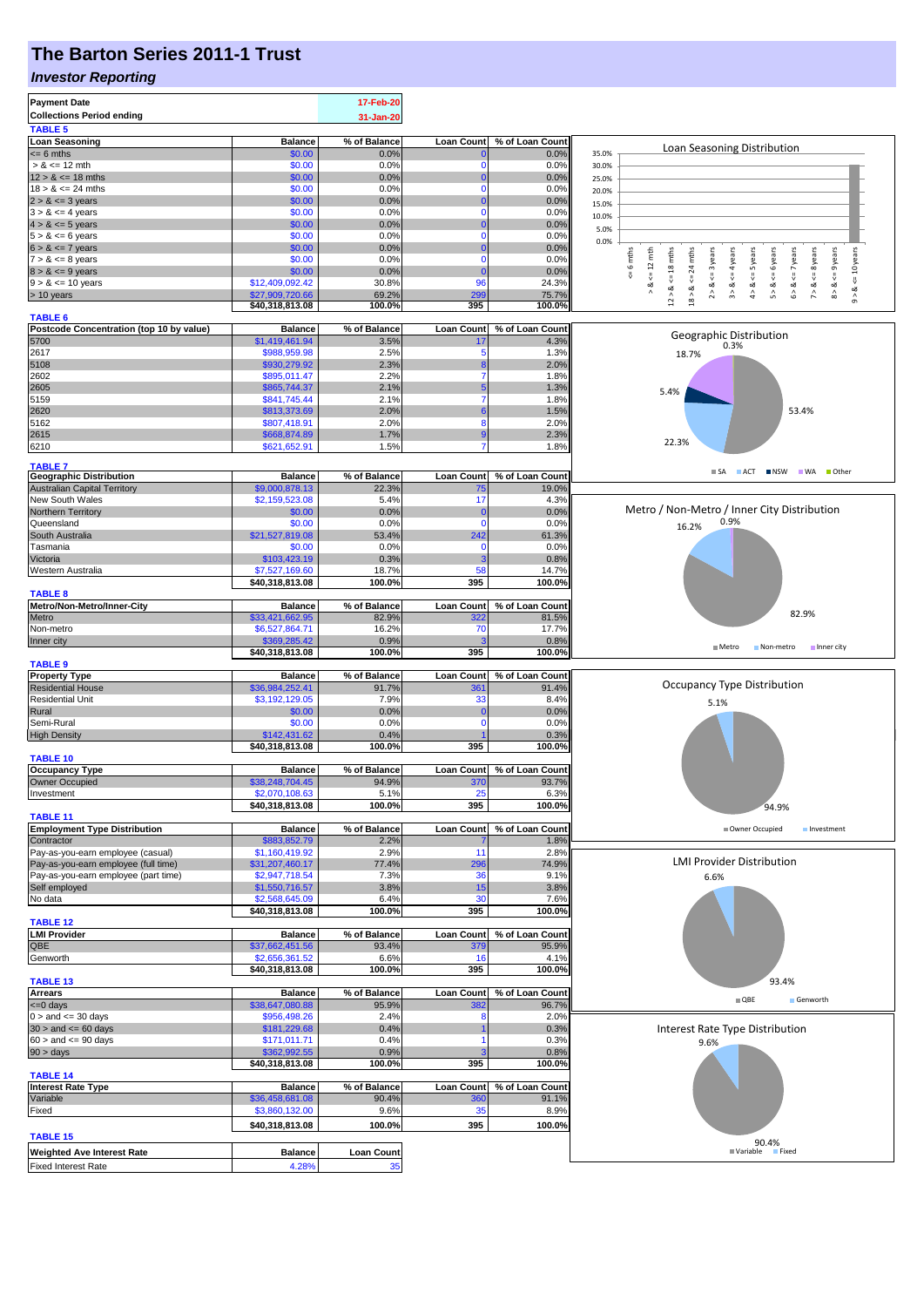# **The Barton Series 2011-1 Trust**

### *Investor Reporting*

| <b>Collections Period ending</b>                      |                                   | 17-Feb-20         |                   |                 |                                                                                                                                                |
|-------------------------------------------------------|-----------------------------------|-------------------|-------------------|-----------------|------------------------------------------------------------------------------------------------------------------------------------------------|
|                                                       |                                   | 31-Jan-20         |                   |                 |                                                                                                                                                |
| <b>TABLE 5</b>                                        |                                   |                   |                   |                 |                                                                                                                                                |
| <b>Loan Seasoning</b>                                 | <b>Balance</b>                    | % of Balance      | <b>Loan Count</b> | % of Loan Count |                                                                                                                                                |
| $\leq$ 6 mths                                         | \$0.00                            | 0.0%              |                   | 0.0%            | Loan Seasoning Distribution<br>35.0%                                                                                                           |
| $> 8 \le 12$ mth                                      | \$0.00                            | 0.0%              |                   | 0.0%            | 30.0%                                                                                                                                          |
| $12 > 8 \le 18$ mths                                  | \$0.00                            | 0.0%              | 0                 | 0.0%            | 25.0%                                                                                                                                          |
| $18 > 8 \le 24$ mths                                  | \$0.00                            | 0.0%              | $\Omega$          | 0.0%            | 20.0%                                                                                                                                          |
| $2 > 8 \le 3$ years                                   | \$0.00                            | 0.0%              |                   | 0.0%            | 15.0%                                                                                                                                          |
| $3 > 8 \le 4$ years                                   | \$0.00<br>\$0.00                  | 0.0%<br>0.0%      | n                 | 0.0%<br>0.0%    | 10.0%                                                                                                                                          |
| $4 > 8 \le 5$ years<br>$5 > 8 \le 6$ years            | \$0.00                            | 0.0%              | $\Omega$          | 0.0%            | 5.0%                                                                                                                                           |
| $6 > 8 \le 7$ years                                   | \$0.00                            | 0.0%              | 0                 | 0.0%            | 0.0%                                                                                                                                           |
| $7 > 8 \le 8$ years                                   | \$0.00                            | 0.0%              | 0                 | 0.0%            | 6 mths<br>mths<br>$\leq$ 9 years<br>$\leq 12$ mth<br>years<br>$\leq$ 7 years<br><= 10 years<br>$\leq$ = 4 years<br>6 years<br>$\leq$ = 8 years |
| $8 > 8 \le 9$ years                                   | \$0.00                            | 0.0%              | 0                 | 0.0%            | 24<br>$\leq$ = 3                                                                                                                               |
| $9 > 8 \le 10$ years                                  | \$12,409,092.42                   | 30.8%             | 96                | 24.3%           | $12 > 8$ <= 18 mths<br>$4 > 8$ <= 5 years<br>₩<br>₩                                                                                            |
| $> 10$ years                                          | \$27,909,720.66                   | 69.2%             | 299               | 75.7%           | 2 > 8<br>3 > 8<br>5 > 8<br>6 > 8<br>7 > 8<br>8 > 8<br>∘&<br>$18 > 8$ .<br>ಷ<br>$^\wedge_\mathfrak{g}$                                          |
|                                                       | \$40,318,813.08                   | 100.0%            | 395               | 100.0%          |                                                                                                                                                |
| <b>TABLE 6</b>                                        |                                   |                   |                   |                 |                                                                                                                                                |
| Postcode Concentration (top 10 by value)              | <b>Balance</b>                    | % of Balance      | <b>Loan Count</b> | % of Loan Count | Geographic Distribution                                                                                                                        |
| 5700                                                  | \$1,419,461.94                    | 3.5%              | 17                | 4.3%            | 0.3%                                                                                                                                           |
| 2617                                                  | \$988,959.98<br>\$930,279.92      | 2.5%<br>2.3%      | F                 | 1.3%<br>2.0%    | 18.7%                                                                                                                                          |
| 5108<br>2602                                          | \$895,011.47                      | 2.2%              |                   | 1.8%            |                                                                                                                                                |
| 2605                                                  | \$865,744.37                      | 2.1%              |                   | 1.3%            |                                                                                                                                                |
| 5159                                                  | \$841,745.44                      | 2.1%              |                   | 1.8%            | 5.4%                                                                                                                                           |
| 2620                                                  | \$813,373.69                      | 2.0%              |                   | 1.5%            | 53.4%                                                                                                                                          |
| 5162                                                  | \$807,418.91                      | 2.0%              | 8                 | 2.0%            |                                                                                                                                                |
| 2615                                                  | \$668,874.89                      | 1.7%              |                   | 2.3%            |                                                                                                                                                |
| 6210                                                  | \$621,652.91                      | 1.5%              |                   | 1.8%            | 22.3%                                                                                                                                          |
|                                                       |                                   |                   |                   |                 |                                                                                                                                                |
| <b>TABLE 7</b><br><b>Geographic Distribution</b>      | <b>Balance</b>                    | % of Balance      | <b>Loan Count</b> | % of Loan Count | $\blacksquare$ SA $\blacksquare$ ACT<br><b>NOW WA Other</b>                                                                                    |
| <b>Australian Capital Territory</b>                   | \$9,000,878.13                    | 22.3%             | 75                | 19.0%           |                                                                                                                                                |
| New South Wales                                       | \$2,159,523.08                    | 5.4%              | 17                | 4.3%            |                                                                                                                                                |
| Northern Territory                                    | \$0.00                            | 0.0%              | 0                 | 0.0%            | Metro / Non-Metro / Inner City Distribution                                                                                                    |
| Queensland                                            | \$0.00                            | 0.0%              | $\Omega$          | 0.0%            | 0.9%<br>16.2%                                                                                                                                  |
| South Australia                                       | \$21,527,819.08                   | 53.4%             | 242               | 61.3%           |                                                                                                                                                |
| Tasmania                                              | \$0.00                            | 0.0%              | 0                 | 0.0%            |                                                                                                                                                |
| Victoria                                              | \$103,423.19                      | 0.3%              |                   | 0.8%            |                                                                                                                                                |
| Western Australia                                     | \$7,527,169.60                    | 18.7%             | 58                | 14.7%           |                                                                                                                                                |
|                                                       | \$40,318,813.08                   | 100.0%            | 395               | 100.0%          |                                                                                                                                                |
| <b>TABLE 8</b>                                        |                                   |                   |                   |                 |                                                                                                                                                |
| Metro/Non-Metro/Inner-City                            | <b>Balance</b>                    | % of Balance      | <b>Loan Count</b> | % of Loan Count | 82.9%                                                                                                                                          |
| Metro                                                 | \$33,421,662.95                   | 82.9%             | 322               | 81.5%           |                                                                                                                                                |
| Non-metro                                             | \$6,527,864.71                    | 16.2%             | 70                | 17.7%           |                                                                                                                                                |
| Inner city                                            | \$369,285.42                      | 0.9%              |                   | 0.8%            | $M$ Metro<br>Non-metro<br>Inner city                                                                                                           |
|                                                       | \$40,318,813.08                   | 100.0%            | 395               | 100.0%          |                                                                                                                                                |
| <b>TABLE 9</b><br><b>Property Type</b>                | <b>Balance</b>                    | % of Balance      | <b>Loan Count</b> | % of Loan Count |                                                                                                                                                |
| <b>Residential House</b>                              | \$36,984,252.41                   | 91.7%             | 36'               | 91.4%           | <b>Occupancy Type Distribution</b>                                                                                                             |
| <b>Residential Unit</b>                               | \$3,192,129.05                    | 7.9%              | 33                | 8.4%            |                                                                                                                                                |
| Rural                                                 | \$0.00                            | 0.0%              | O                 | 0.0%            | 5.1%                                                                                                                                           |
| Semi-Rural                                            | \$0.00                            | 0.0%              | O                 | 0.0%            |                                                                                                                                                |
|                                                       |                                   |                   |                   |                 |                                                                                                                                                |
| <b>High Density</b>                                   | \$142,431.62                      | 0.4%              |                   | 0.3%            |                                                                                                                                                |
|                                                       | \$40,318,813.08                   | 100.0%            | 395               | 100.0%          |                                                                                                                                                |
| <b>TABLE 10</b>                                       |                                   |                   |                   |                 |                                                                                                                                                |
| <b>Occupancy Type</b>                                 | <b>Balance</b>                    | % of Balance      | <b>Loan Count</b> | % of Loan Count |                                                                                                                                                |
| <b>Owner Occupied</b>                                 | \$38,248,704.45                   | 94.9%             | 370               | 93.7%           |                                                                                                                                                |
| Investment                                            | \$2,070,108.63                    | 5.1%              | 25                | 6.3%            |                                                                                                                                                |
|                                                       | \$40,318,813.08                   | 100.0%            | 395               | 100.0%          | 94.9%                                                                                                                                          |
| <b>TABLE 11</b>                                       |                                   |                   |                   |                 |                                                                                                                                                |
| <b>Employment Type Distribution</b>                   | <b>Balance</b>                    | % of Balance      | <b>Loan Count</b> | % of Loan Count | Owner Occupied<br>Investment                                                                                                                   |
| Contractor                                            | \$883,852.79                      | 2.2%              |                   | 1.8%            |                                                                                                                                                |
| Pay-as-you-earn employee (casual)                     | \$1,160,419.92                    | 2.9%              | 11                | 2.8%            | <b>LMI Provider Distribution</b>                                                                                                               |
| Pay-as-you-earn employee (full time)                  | \$31,207,460.17<br>\$2,947,718.54 | 77.4%<br>7.3%     | 296<br>36         | 74.9%<br>9.1%   |                                                                                                                                                |
| Pay-as-you-earn employee (part time)<br>Self employed |                                   | 3.8%              | 15                | 3.8%            | 6.6%                                                                                                                                           |
| No data                                               | \$1,550,716.57<br>\$2,568,645.09  | 6.4%              | 30                | 7.6%            |                                                                                                                                                |
|                                                       | \$40,318,813.08                   | 100.0%            | 395               | 100.0%          |                                                                                                                                                |
| <b>TABLE 12</b>                                       |                                   |                   |                   |                 |                                                                                                                                                |
| <b>LMI Provider</b>                                   | <b>Balance</b>                    | % of Balance      | <b>Loan Count</b> | % of Loan Count |                                                                                                                                                |
| QBE                                                   | \$37,662,451.56                   | 93.4%             | 379               | 95.9%           |                                                                                                                                                |
| Genworth                                              | \$2,656,361.52                    | 6.6%              | 16                | 4.1%            |                                                                                                                                                |
|                                                       | \$40,318,813.08                   | 100.0%            | 395               | 100.0%          |                                                                                                                                                |
| <b>TABLE 13</b>                                       |                                   |                   |                   |                 | 93.4%                                                                                                                                          |
| <b>Arrears</b>                                        | <b>Balance</b>                    | % of Balance      | <b>Loan Count</b> | % of Loan Count | $\blacksquare$ QBE<br>Genworth                                                                                                                 |
| $= 0$ days                                            | \$38,647,080.88                   | 95.9%             | 382               | 96.7%           |                                                                                                                                                |
| $0 >$ and $\leq$ 30 days                              | \$956,498.26                      | 2.4%              |                   | 2.0%            |                                                                                                                                                |
| $30 >$ and $\leq 60$ days                             | \$181,229.68                      | 0.4%              |                   | 0.3%            | Interest Rate Type Distribution                                                                                                                |
| $60 >$ and $\leq 90$ days<br>$90 > \text{days}$       | \$171,011.71<br>\$362,992.55      | 0.4%<br>0.9%      |                   | 0.3%<br>0.8%    | 9.6%                                                                                                                                           |
|                                                       | \$40,318,813.08                   | 100.0%            | 395               | 100.0%          |                                                                                                                                                |
| <b>TABLE 14</b>                                       |                                   |                   |                   |                 |                                                                                                                                                |
| <b>Interest Rate Type</b>                             | <b>Balance</b>                    | % of Balance      | <b>Loan Count</b> | % of Loan Count |                                                                                                                                                |
| Variable                                              | \$36,458,681.08                   | 90.4%             | 360               | 91.1%           |                                                                                                                                                |
| Fixed                                                 | \$3,860,132.00                    | 9.6%              | 35                | 8.9%            |                                                                                                                                                |
|                                                       | \$40,318,813.08                   | 100.0%            | 395               | 100.0%          |                                                                                                                                                |
| <b>TABLE 15</b>                                       |                                   |                   |                   |                 |                                                                                                                                                |
| <b>Weighted Ave Interest Rate</b>                     | <b>Balance</b>                    | <b>Loan Count</b> |                   |                 | 90.4%<br><b>■ Variable</b><br><b>Fixed</b>                                                                                                     |